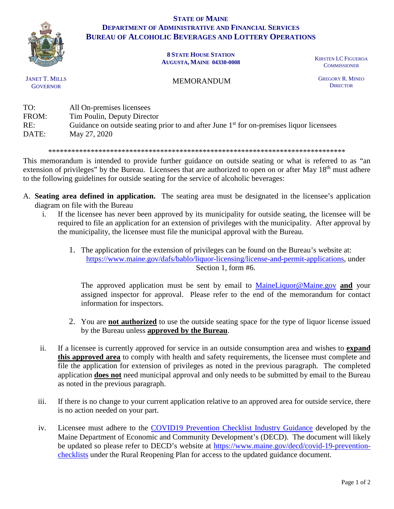

## **STATE OF MAINE DEPARTMENT OF ADMINISTRATIVE AND FINANCIAL SERVICES BUREAU OF ALCOHOLIC BEVERAGES AND LOTTERY OPERATIONS**

## **8 STATE HOUSE STATION AUGUSTA, MAINE 04330-0008** KIRSTEN LC FIGUEROA

**COMMISSIONER** 

JANET T. MILLS **GOVERNOR** 

## MEMORANDUM

GREGORY R. MINEO **DIRECTOR** 

| TO:   | All On-premises licensees                                                                  |
|-------|--------------------------------------------------------------------------------------------|
| FROM: | Tim Poulin, Deputy Director                                                                |
| RE:   | Guidance on outside seating prior to and after June $1st$ for on-premises liquor licensees |
| DATE: | May 27, 2020                                                                               |

\*\*\*\*\*\*\*\*\*\*\*\*\*\*\*\*\*\*\*\*\*\*\*\*\*\*\*\*\*\*\*\*\*\*\*\*\*\*\*\*\*\*\*\*\*\*\*\*\*\*\*\*\*\*\*\*\*\*\*\*\*\*\*\*\*\*\*\*\*\*\*\*\*\*\*\*\*

This memorandum is intended to provide further guidance on outside seating or what is referred to as "an extension of privileges" by the Bureau. Licensees that are authorized to open on or after May 18<sup>th</sup> must adhere to the following guidelines for outside seating for the service of alcoholic beverages:

- A. **Seating area defined in application.** The seating area must be designated in the licensee's application diagram on file with the Bureau
	- i. If the licensee has never been approved by its municipality for outside seating, the licensee will be required to file an application for an extension of privileges with the municipality. After approval by the municipality, the licensee must file the municipal approval with the Bureau.
		- 1. The application for the extension of privileges can be found on the Bureau's website at: [https://www.maine.gov/dafs/bablo/liquor-licensing/license-and-permit-applications,](https://www.maine.gov/dafs/bablo/liquor-licensing/license-and-permit-applications) under Section 1, form #6.

The approved application must be sent by email to [MaineLiquor@Maine.gov](mailto:MaineLiquor@Maine.gov) **and** your assigned inspector for approval. Please refer to the end of the memorandum for contact information for inspectors.

- 2. You are **not authorized** to use the outside seating space for the type of liquor license issued by the Bureau unless **approved by the Bureau**.
- ii. If a licensee is currently approved for service in an outside consumption area and wishes to **expand this approved area** to comply with health and safety requirements, the licensee must complete and file the application for extension of privileges as noted in the previous paragraph. The completed application **does not** need municipal approval and only needs to be submitted by email to the Bureau as noted in the previous paragraph.
- iii. If there is no change to your current application relative to an approved area for outside service, there is no action needed on your part.
- iv. Licensee must adhere to the [COVID19 Prevention Checklist Industry Guidance](https://www.maine.gov/decd/sites/maine.gov.decd/files/inline-files/COVID%20Checklist%20for%20ME%20Phase%201%20Restaurants.pdf) developed by the Maine Department of Economic and Community Development's (DECD). The document will likely be updated so please refer to DECD's website at [https://www.maine.gov/decd/covid-19-prevention](https://www.maine.gov/decd/covid-19-prevention-checklists)[checklists](https://www.maine.gov/decd/covid-19-prevention-checklists) under the Rural Reopening Plan for access to the updated guidance document.